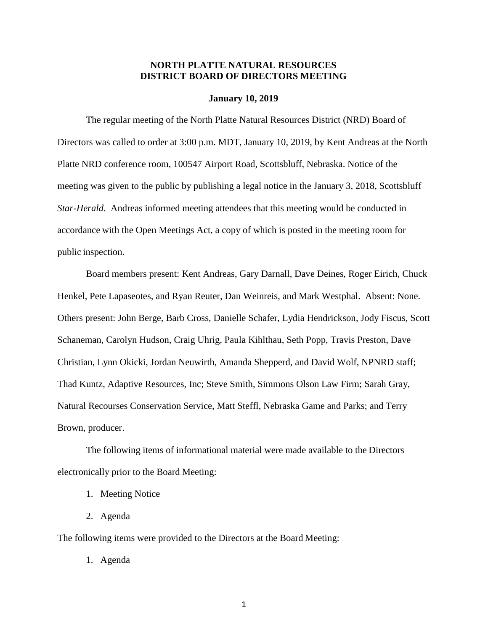# **NORTH PLATTE NATURAL RESOURCES DISTRICT BOARD OF DIRECTORS MEETING**

#### **January 10, 2019**

The regular meeting of the North Platte Natural Resources District (NRD) Board of Directors was called to order at 3:00 p.m. MDT, January 10, 2019, by Kent Andreas at the North Platte NRD conference room, 100547 Airport Road, Scottsbluff, Nebraska. Notice of the meeting was given to the public by publishing a legal notice in the January 3, 2018, Scottsbluff *Star-Herald*. Andreas informed meeting attendees that this meeting would be conducted in accordance with the Open Meetings Act, a copy of which is posted in the meeting room for public inspection.

Board members present: Kent Andreas, Gary Darnall, Dave Deines, Roger Eirich, Chuck Henkel, Pete Lapaseotes, and Ryan Reuter, Dan Weinreis, and Mark Westphal. Absent: None. Others present: John Berge, Barb Cross, Danielle Schafer, Lydia Hendrickson, Jody Fiscus, Scott Schaneman, Carolyn Hudson, Craig Uhrig, Paula Kihlthau, Seth Popp, Travis Preston, Dave Christian, Lynn Okicki, Jordan Neuwirth, Amanda Shepperd, and David Wolf, NPNRD staff; Thad Kuntz, Adaptive Resources, Inc; Steve Smith, Simmons Olson Law Firm; Sarah Gray, Natural Recourses Conservation Service, Matt Steffl, Nebraska Game and Parks; and Terry Brown, producer.

The following items of informational material were made available to the Directors electronically prior to the Board Meeting:

- 1. Meeting Notice
- 2. Agenda

The following items were provided to the Directors at the Board Meeting:

1. Agenda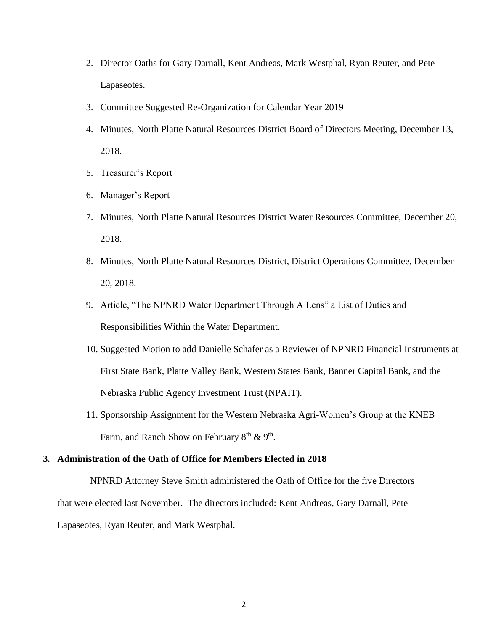- 2. Director Oaths for Gary Darnall, Kent Andreas, Mark Westphal, Ryan Reuter, and Pete Lapaseotes.
- 3. Committee Suggested Re-Organization for Calendar Year 2019
- 4. Minutes, North Platte Natural Resources District Board of Directors Meeting, December 13, 2018.
- 5. Treasurer's Report
- 6. Manager's Report
- 7. Minutes, North Platte Natural Resources District Water Resources Committee, December 20, 2018.
- 8. Minutes, North Platte Natural Resources District, District Operations Committee, December 20, 2018.
- 9. Article, "The NPNRD Water Department Through A Lens" a List of Duties and Responsibilities Within the Water Department.
- 10. Suggested Motion to add Danielle Schafer as a Reviewer of NPNRD Financial Instruments at First State Bank, Platte Valley Bank, Western States Bank, Banner Capital Bank, and the Nebraska Public Agency Investment Trust (NPAIT).
- 11. Sponsorship Assignment for the Western Nebraska Agri-Women's Group at the KNEB Farm, and Ranch Show on February  $8<sup>th</sup>$  &  $9<sup>th</sup>$ .

# **3. Administration of the Oath of Office for Members Elected in 2018**

NPNRD Attorney Steve Smith administered the Oath of Office for the five Directors that were elected last November. The directors included: Kent Andreas, Gary Darnall, Pete Lapaseotes, Ryan Reuter, and Mark Westphal.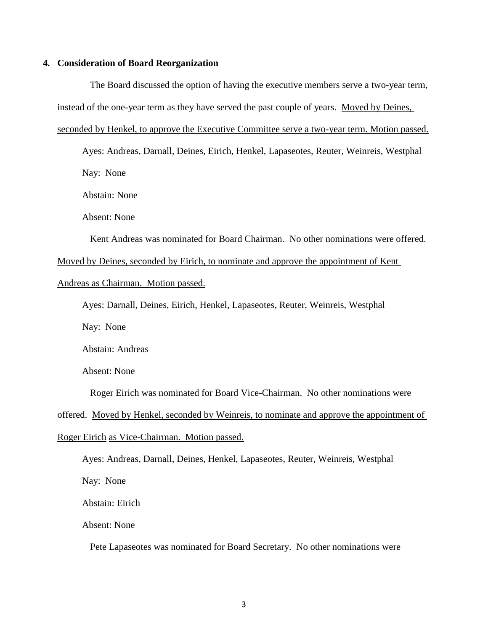#### **4. Consideration of Board Reorganization**

The Board discussed the option of having the executive members serve a two-year term, instead of the one-year term as they have served the past couple of years. Moved by Deines, seconded by Henkel, to approve the Executive Committee serve a two-year term. Motion passed.

Ayes: Andreas, Darnall, Deines, Eirich, Henkel, Lapaseotes, Reuter, Weinreis, Westphal Nay: None

Abstain: None

Absent: None

Kent Andreas was nominated for Board Chairman. No other nominations were offered.

Moved by Deines, seconded by Eirich, to nominate and approve the appointment of Kent

Andreas as Chairman. Motion passed.

Ayes: Darnall, Deines, Eirich, Henkel, Lapaseotes, Reuter, Weinreis, Westphal

Nay: None

Abstain: Andreas

Absent: None

Roger Eirich was nominated for Board Vice-Chairman. No other nominations were

offered. Moved by Henkel, seconded by Weinreis, to nominate and approve the appointment of Roger Eirich as Vice-Chairman. Motion passed.

Ayes: Andreas, Darnall, Deines, Henkel, Lapaseotes, Reuter, Weinreis, Westphal Nay: None Abstain: Eirich

Absent: None

Pete Lapaseotes was nominated for Board Secretary. No other nominations were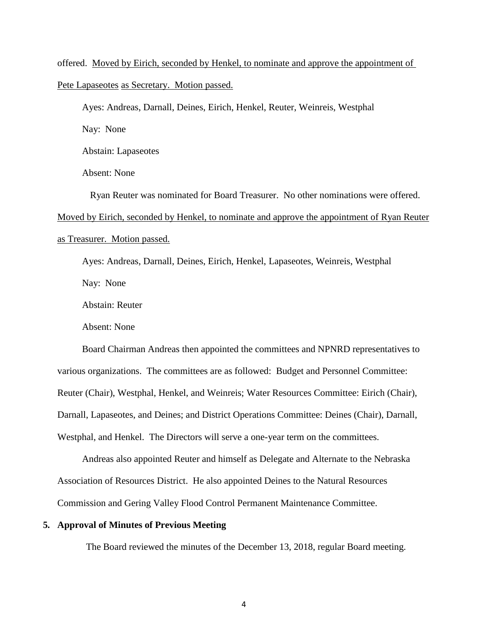offered. Moved by Eirich, seconded by Henkel, to nominate and approve the appointment of Pete Lapaseotes as Secretary. Motion passed.

Ayes: Andreas, Darnall, Deines, Eirich, Henkel, Reuter, Weinreis, Westphal

Nay: None

Abstain: Lapaseotes

Absent: None

Ryan Reuter was nominated for Board Treasurer. No other nominations were offered.

Moved by Eirich, seconded by Henkel, to nominate and approve the appointment of Ryan Reuter

as Treasurer. Motion passed.

Ayes: Andreas, Darnall, Deines, Eirich, Henkel, Lapaseotes, Weinreis, Westphal

Nay: None

Abstain: Reuter

Absent: None

Board Chairman Andreas then appointed the committees and NPNRD representatives to various organizations. The committees are as followed: Budget and Personnel Committee: Reuter (Chair), Westphal, Henkel, and Weinreis; Water Resources Committee: Eirich (Chair), Darnall, Lapaseotes, and Deines; and District Operations Committee: Deines (Chair), Darnall, Westphal, and Henkel. The Directors will serve a one-year term on the committees.

Andreas also appointed Reuter and himself as Delegate and Alternate to the Nebraska Association of Resources District. He also appointed Deines to the Natural Resources Commission and Gering Valley Flood Control Permanent Maintenance Committee.

# **5. Approval of Minutes of Previous Meeting**

The Board reviewed the minutes of the December 13, 2018, regular Board meeting.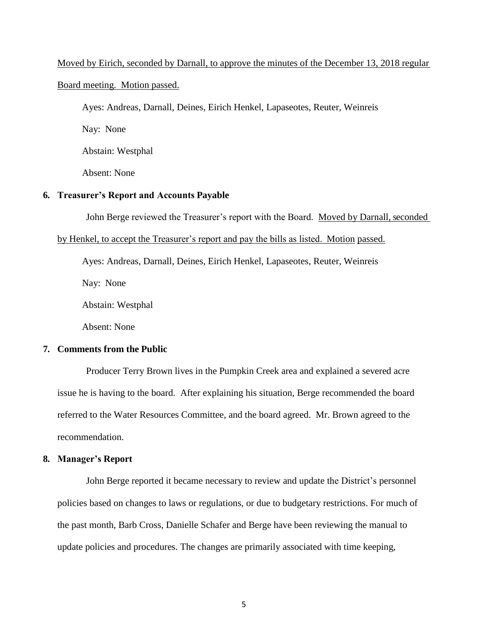#### Moved by Eirich, seconded by Darnall, to approve the minutes of the December 13, 2018 regular

#### Board meeting. Motion passed.

Ayes: Andreas, Darnall, Deines, Eirich Henkel, Lapaseotes, Reuter, Weinreis

Nay: None

Abstain: Westphal

Absent: None

# **6. Treasurer's Report and Accounts Payable**

John Berge reviewed the Treasurer's report with the Board. Moved by Darnall, seconded

#### by Henkel, to accept the Treasurer's report and pay the bills as listed. Motion passed.

Ayes: Andreas, Darnall, Deines, Eirich Henkel, Lapaseotes, Reuter, Weinreis

Nay: None

Abstain: Westphal

Absent: None

# **7. Comments from the Public**

Producer Terry Brown lives in the Pumpkin Creek area and explained a severed acre issue he is having to the board. After explaining his situation, Berge recommended the board referred to the Water Resources Committee, and the board agreed. Mr. Brown agreed to the recommendation.

#### **8. Manager's Report**

John Berge reported it became necessary to review and update the District's personnel policies based on changes to laws or regulations, or due to budgetary restrictions. For much of the past month, Barb Cross, Danielle Schafer and Berge have been reviewing the manual to update policies and procedures. The changes are primarily associated with time keeping,

5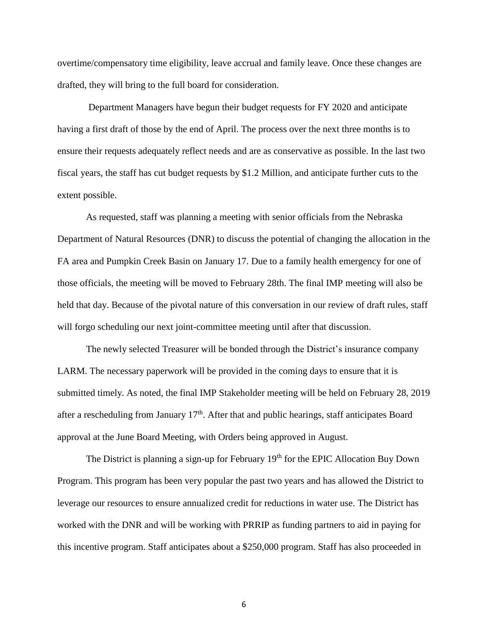overtime/compensatory time eligibility, leave accrual and family leave. Once these changes are drafted, they will bring to the full board for consideration.

Department Managers have begun their budget requests for FY 2020 and anticipate having a first draft of those by the end of April. The process over the next three months is to ensure their requests adequately reflect needs and are as conservative as possible. In the last two fiscal years, the staff has cut budget requests by \$1.2 Million, and anticipate further cuts to the extent possible.

As requested, staff was planning a meeting with senior officials from the Nebraska Department of Natural Resources (DNR) to discuss the potential of changing the allocation in the FA area and Pumpkin Creek Basin on January 17. Due to a family health emergency for one of those officials, the meeting will be moved to February 28th. The final IMP meeting will also be held that day. Because of the pivotal nature of this conversation in our review of draft rules, staff will forgo scheduling our next joint-committee meeting until after that discussion.

The newly selected Treasurer will be bonded through the District's insurance company LARM. The necessary paperwork will be provided in the coming days to ensure that it is submitted timely. As noted, the final IMP Stakeholder meeting will be held on February 28, 2019 after a rescheduling from January  $17<sup>th</sup>$ . After that and public hearings, staff anticipates Board approval at the June Board Meeting, with Orders being approved in August.

The District is planning a sign-up for February 19<sup>th</sup> for the EPIC Allocation Buy Down Program. This program has been very popular the past two years and has allowed the District to leverage our resources to ensure annualized credit for reductions in water use. The District has worked with the DNR and will be working with PRRIP as funding partners to aid in paying for this incentive program. Staff anticipates about a \$250,000 program. Staff has also proceeded in

6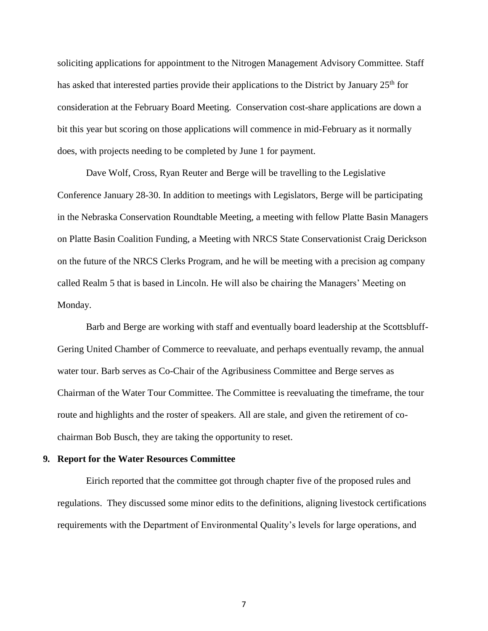soliciting applications for appointment to the Nitrogen Management Advisory Committee. Staff has asked that interested parties provide their applications to the District by January 25<sup>th</sup> for consideration at the February Board Meeting. Conservation cost-share applications are down a bit this year but scoring on those applications will commence in mid-February as it normally does, with projects needing to be completed by June 1 for payment.

Dave Wolf, Cross, Ryan Reuter and Berge will be travelling to the Legislative Conference January 28-30. In addition to meetings with Legislators, Berge will be participating in the Nebraska Conservation Roundtable Meeting, a meeting with fellow Platte Basin Managers on Platte Basin Coalition Funding, a Meeting with NRCS State Conservationist Craig Derickson on the future of the NRCS Clerks Program, and he will be meeting with a precision ag company called Realm 5 that is based in Lincoln. He will also be chairing the Managers' Meeting on Monday.

Barb and Berge are working with staff and eventually board leadership at the Scottsbluff-Gering United Chamber of Commerce to reevaluate, and perhaps eventually revamp, the annual water tour. Barb serves as Co-Chair of the Agribusiness Committee and Berge serves as Chairman of the Water Tour Committee. The Committee is reevaluating the timeframe, the tour route and highlights and the roster of speakers. All are stale, and given the retirement of cochairman Bob Busch, they are taking the opportunity to reset.

#### **9. Report for the Water Resources Committee**

Eirich reported that the committee got through chapter five of the proposed rules and regulations. They discussed some minor edits to the definitions, aligning livestock certifications requirements with the Department of Environmental Quality's levels for large operations, and

7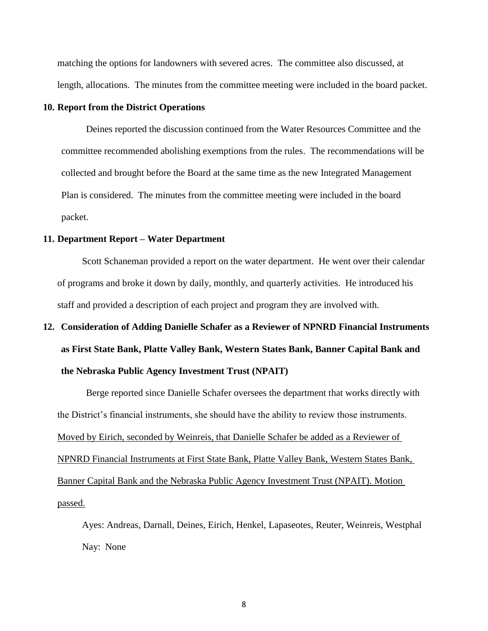matching the options for landowners with severed acres. The committee also discussed, at length, allocations. The minutes from the committee meeting were included in the board packet.

#### **10. Report from the District Operations**

Deines reported the discussion continued from the Water Resources Committee and the committee recommended abolishing exemptions from the rules. The recommendations will be collected and brought before the Board at the same time as the new Integrated Management Plan is considered. The minutes from the committee meeting were included in the board packet.

# **11. Department Report – Water Department**

Scott Schaneman provided a report on the water department. He went over their calendar of programs and broke it down by daily, monthly, and quarterly activities. He introduced his staff and provided a description of each project and program they are involved with.

# **12. Consideration of Adding Danielle Schafer as a Reviewer of NPNRD Financial Instruments as First State Bank, Platte Valley Bank, Western States Bank, Banner Capital Bank and the Nebraska Public Agency Investment Trust (NPAIT)**

Berge reported since Danielle Schafer oversees the department that works directly with the District's financial instruments, she should have the ability to review those instruments. Moved by Eirich, seconded by Weinreis, that Danielle Schafer be added as a Reviewer of NPNRD Financial Instruments at First State Bank, Platte Valley Bank, Western States Bank, Banner Capital Bank and the Nebraska Public Agency Investment Trust (NPAIT). Motion passed.

Ayes: Andreas, Darnall, Deines, Eirich, Henkel, Lapaseotes, Reuter, Weinreis, Westphal Nay: None